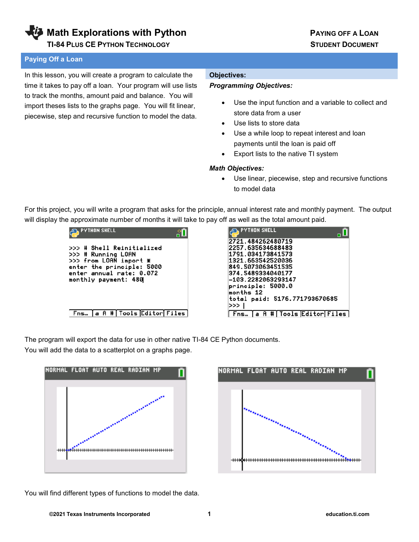**Math Explorations with Python PAYING OFF A LOAN** 

 **TI-84 PLUS CE PYTHON TECHNOLOGY STUDENT DOCUMENT**

### **Paying Off a Loan**

In this lesson, you will create a program to calculate the time it takes to pay off a loan. Your program will use lists to track the months, amount paid and balance. You will import theses lists to the graphs page. You will fit linear, piecewise, step and recursive function to model the data.

### **Objectives:**

### *Programming Objectives:*

- Use the input function and a variable to collect and store data from a user
- Use lists to store data
- Use a while loop to repeat interest and loan payments until the loan is paid off
- Export lists to the native TI system

### *Math Objectives:*

• Use linear, piecewise, step and recursive functions to model data

For this project, you will write a program that asks for the principle, annual interest rate and monthly payment. The output will display the approximate number of months it will take to pay off as well as the total amount paid.



| . PYTHON SHELL                |
|-------------------------------|
| 2721.484262480719             |
| 2257.635634688483             |
| 1791.034173841573             |
| 1321.663542520036             |
| 849.5073063451535             |
| 374.5489334040177             |
| -103.2282063293147            |
| principle: 5000.0             |
| months 12                     |
| total paid: 5176.771793670685 |
| >>>                           |
| Tools Editor Files<br>Ħ<br>A. |

The program will export the data for use in other native TI-84 CE Python documents.

You will add the data to a scatterplot on a graphs page.





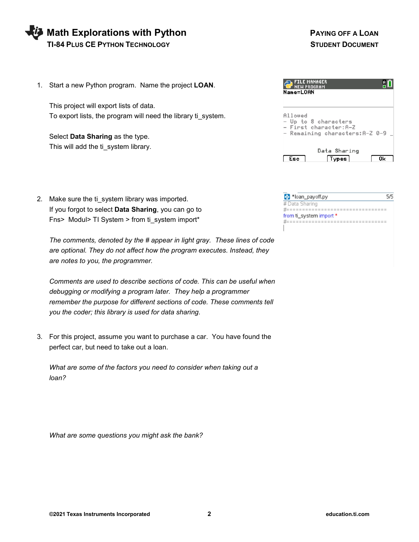## **Math Explorations with Python Community Community PAYING OFF A LOAN TI-84 PLUS CE PYTHON TECHNOLOGY STUDENT DOCUMENT**

1. Start a new Python program. Name the project **LOAN**.

This project will export lists of data. To export lists, the program will need the library ti\_system.

Select **Data Sharing** as the type. This will add the ti\_system library.

2. Make sure the ti\_system library was imported. If you forgot to select **Data Sharing**, you can go to Fns> Modul> TI System > from ti\_system import\*

*The comments, denoted by the # appear in light gray. These lines of code are optional. They do not affect how the program executes. Instead, they are notes to you, the programmer.* 

*Comments are used to describe sections of code. This can be useful when debugging or modifying a program later. They help a programmer remember the purpose for different sections of code. These comments tell you the coder; this library is used for data sharing*.

3. For this project, assume you want to purchase a car. You have found the perfect car, but need to take out a loan.

*What are some of the factors you need to consider when taking out a loan?* 

*What are some questions you might ask the bank?*

| <b>FILE MANAGER</b><br>PROGRAM<br>Name=LOAN                                                 |
|---------------------------------------------------------------------------------------------|
| Allowed<br>- Up to 8 characters<br>- First character:A-Z<br>- Remaining characters: A-Z 0-9 |
| Data Sharing                                                                                |

| 문 *loan_payoff.py       |  |
|-------------------------|--|
| # Data Sharing          |  |
|                         |  |
| from ti_system import * |  |
|                         |  |
|                         |  |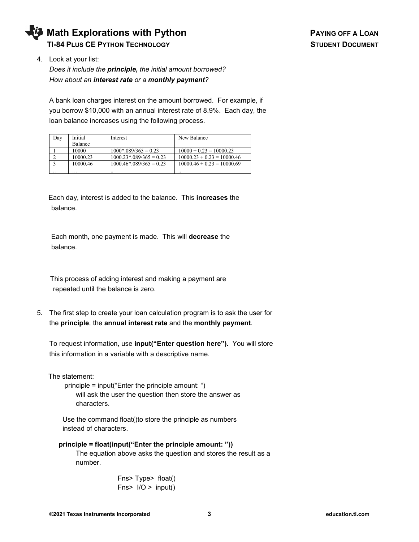

4. Look at your list:

*Does it include the principle, the initial amount borrowed? How about an interest rate or a monthly payment?*

A bank loan charges interest on the amount borrowed. For example, if you borrow \$10,000 with an annual interest rate of 8.9%. Each day, the loan balance increases using the following process.

| Dav | Initial  | Interest                               | New Balance                  |
|-----|----------|----------------------------------------|------------------------------|
|     | Balance  |                                        |                              |
|     | 10000    | $1000*.089/365 = 0.23$                 | $10000 + 0.23 = 10000.23$    |
|     | 10000.23 | $1000.23$ <sup>*</sup> .089/365 = 0.23 | $10000.23 + 0.23 = 10000.46$ |
|     | 10000.46 | $1000.46*.089/365 = 0.23$              | $10000.46 + 0.23 = 10000.69$ |
|     | .        |                                        |                              |

 Each day, interest is added to the balance. This **increases** the balance.

 Each month, one payment is made. This will **decrease** the balance.

 This process of adding interest and making a payment are repeated until the balance is zero.

5. The first step to create your loan calculation program is to ask the user for the **principle**, the **annual interest rate** and the **monthly payment**.

To request information, use **input("Enter question here").** You will store this information in a variable with a descriptive name.

The statement:

 principle = input("Enter the principle amount: ") will ask the user the question then store the answer as characters.

 Use the command float()to store the principle as numbers instead of characters.

 **principle = float(input("Enter the principle amount: "))** The equation above asks the question and stores the result as a number.

> Fns> Type> float() Fns $>$  I/O  $>$  input()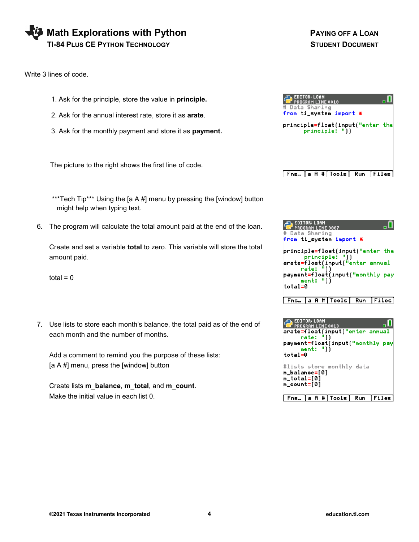| Math Explorations with Python          |
|----------------------------------------|
| <b>TI-84 PLUS CE PYTHON TECHNOLOGY</b> |

Write 3 lines of code.

- 1. Ask for the principle, store the value in **principle.**
- 2. Ask for the annual interest rate, store it as **arate**.
- 3. Ask for the monthly payment and store it as **payment.**

The picture to the right shows the first line of code.

**Math Explorations with Python PAYING OFF A LOAN STUDENT DOCUMENT** 

| # Data Sharing<br>from ti_system import * | EDITOR: LOAN | PROGRAM LINE 0010 |     |               |  |
|-------------------------------------------|--------------|-------------------|-----|---------------|--|
| principle=float(input("enter the          |              | principle: "))    |     |               |  |
|                                           |              |                   |     |               |  |
|                                           |              |                   |     |               |  |
| Fns…                                      |              | a A # Tools       | Run | <b> Files</b> |  |

\*\*\*Tech Tip\*\*\* Using the [a A #] menu by pressing the [window] button might help when typing text.

6. The program will calculate the total amount paid at the end of the loan.

Create and set a variable **total** to zero. This variable will store the total amount paid.

 $total = 0$ 

7. Use lists to store each month's balance, the total paid as of the end of each month and the number of months.

Add a comment to remind you the purpose of these lists: [a A #] menu, press the [window] button

Create lists **m\_balance**, **m\_total**, and **m\_count**. Make the initial value in each list 0.

| <b>EDITOR: LOAN</b><br>PROGRAM LINE 8887<br># Data Sharing<br>from ti_system import *                                                                          |  |
|----------------------------------------------------------------------------------------------------------------------------------------------------------------|--|
| principle=float(input("enter_the<br>principle: "))<br>arate=float(input("enter annual<br>rate: "))<br>payment=float(input("monthly pay<br>ment: "lĺ<br>total=0 |  |
| Fns…  a A # Tools  Run   Files                                                                                                                                 |  |

| <b>EDITOR: LOAN</b><br><b>PROGRAM LINE 0013</b><br>arate=float(input("enter annual<br>rate: "))<br>payment=float(input("monthly pay<br>ment: "))<br>total=0 |
|-------------------------------------------------------------------------------------------------------------------------------------------------------------|
| #lists store monthly data<br>m_balance=[0]<br>n_total=[0]<br>n_count=[0]                                                                                    |
| Fns. La A # Tools Run<br>اعملنتا                                                                                                                            |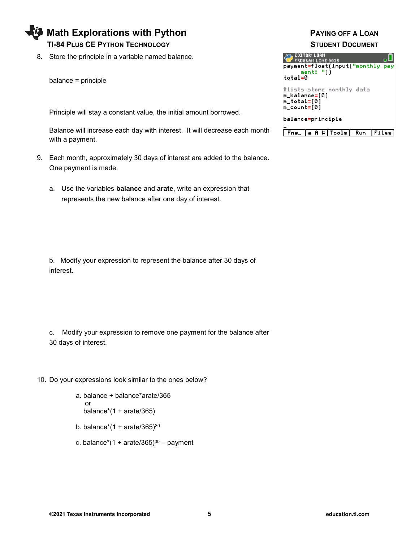## **Math Explorations with Python Access Access ACCES PAYING OFF A LOAN TI-84 PLUS CE PYTHON TECHNOLOGY STUDENT DOCUMENT**

8. Store the principle in a variable named balance.

balance = principle

Principle will stay a constant value, the initial amount borrowed.

Balance will increase each day with interest. It will decrease each month with a payment.

- 9. Each month, approximately 30 days of interest are added to the balance. One payment is made.
	- a. Use the variables **balance** and **arate**, write an expression that represents the new balance after one day of interest.

b. Modify your expression to represent the balance after 30 days of interest.

c. Modify your expression to remove one payment for the balance after 30 days of interest.

- 10. Do your expressions look similar to the ones below?
	- a. balance + balance\*arate/365 or balance $*(1 + \text{arate}/365)$
	- b. balance\*(1 + arate/365) $30$
	- c. balance\*(1 + arate/365) $30 -$  payment

| EDITOR: LOAN<br><b>PROGRAM LINE 0015</b><br>payment=float(input("monthly pay<br>ment: "))<br>total=0 |  |
|------------------------------------------------------------------------------------------------------|--|
| #lists store monthly data<br>m_balance=[0]<br>m_total=[0]<br>m_count=[0]                             |  |
| balance=principle                                                                                    |  |

Fns... |a A # | Tools | Run | Files |

**©2021 Texas Instruments Incorporated 5 education.ti.com**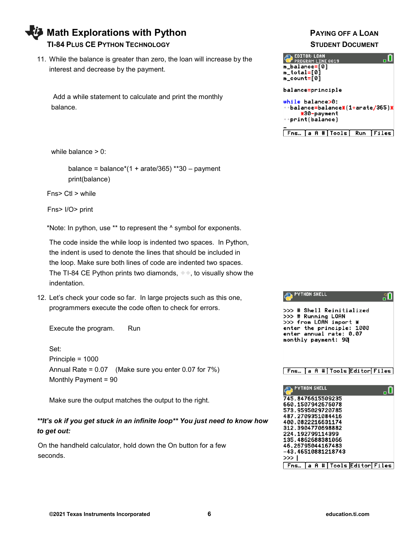**Math Explorations with Python Communist Communist PAYING OFF A LOAN TI-84 PLUS CE PYTHON TECHNOLOGY STUDENT DOCUMENT**

11. While the balance is greater than zero, the loan will increase by the interest and decrease by the payment.

 Add a while statement to calculate and print the monthly balance.

while balance > 0:

balance = balance $*(1 + \text{arate}/365)$  \*\*30 – payment print(balance)

Fns> Ctl > while

Fns> I/O> print

\*Note: In python, use \*\* to represent the ^ symbol for exponents.

 The code inside the while loop is indented two spaces. In Python, the indent is used to denote the lines that should be included in the loop. Make sure both lines of code are indented two spaces. The TI-84 CE Python prints two diamonds,  $\bullet$ , to visually show the indentation.

12. Let's check your code so far. In large projects such as this one, programmers execute the code often to check for errors.

Execute the program. Run

Set: Principle = 1000 Annual Rate = 0.07 (Make sure you enter 0.07 for 7%) Monthly Payment = 90

Make sure the output matches the output to the right.

## *\*\*It's ok if you get stuck in an infinite loop\*\* You just need to know how to get out:*

 On the handheld calculator, hold down the On button for a few seconds.

| <b>EDITOR: LOAN</b><br><b>PROGRAM LINE 0019</b><br>m_balance=[0]<br>m_total=[0]<br>m_count=[0] |  |                               |                                 |
|------------------------------------------------------------------------------------------------|--|-------------------------------|---------------------------------|
| balance=principle                                                                              |  |                               |                                 |
| while balance>0:<br>print(balance)                                                             |  | *30-payment                   | ∘balance=balance⋇(1+arate/365)⋇ |
|                                                                                                |  | Fns… a A # Tools  Run   Files |                                 |

| >>> # Shell Reinitialized<br>>>> # Running LOAN<br>>>> from LOAN import *<br>enter the principle: 1000<br>enter annual rate: 0.07<br>monthly payment: 90            |
|---------------------------------------------------------------------------------------------------------------------------------------------------------------------|
| Fns… [a A #[Tools Editor[Files]<br><b>PYTHON SHELL</b>                                                                                                              |
| 745.8476615509235<br>660.1507942676078<br>573.9595029720785<br>487.2709351084416<br>400.0822216631174<br>312.3904770698882<br>224.192799114399<br>135.4862688381066 |

**AND PYTHON SHELL** 

46.26795044167483 -43.46510881218743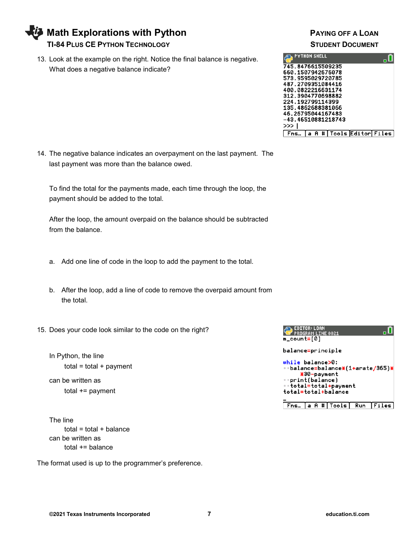**Math Explorations with Python Communist Communist PAYING OFF A LOAN** 

## **TI-84 PLUS CE PYTHON TECHNOLOGY STUDENT DOCUMENT**

13. Look at the example on the right. Notice the final balance is negative. What does a negative balance indicate?



14. The negative balance indicates an overpayment on the last payment. The last payment was more than the balance owed.

To find the total for the payments made, each time through the loop, the payment should be added to the total.

After the loop, the amount overpaid on the balance should be subtracted from the balance.

- a. Add one line of code in the loop to add the payment to the total.
- b. After the loop, add a line of code to remove the overpaid amount from the total.
- 15. Does your code look similar to the code on the right?
	- In Python, the line  $total = total + payment$

can be written as total += payment

The line  $total = total + balance$ can be written as total += balance

The format used is up to the programmer's preference.

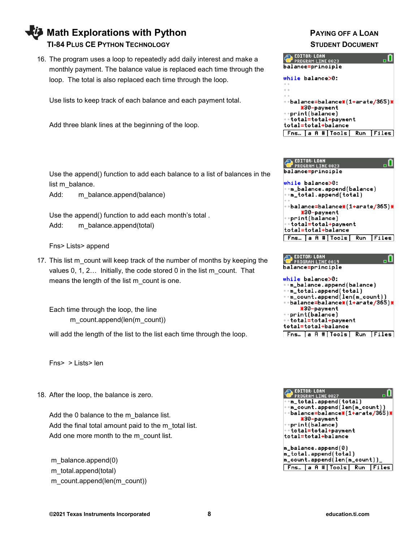## **Math Explorations with Python PAYING OFF A LOAN TI-84 PLUS CE PYTHON TECHNOLOGY STUDENT DOCUMENT**

16. The program uses a loop to repeatedly add daily interest and make a monthly payment. The balance value is replaced each time through the loop. The total is also replaced each time through the loop.

Use lists to keep track of each balance and each payment total.

Add three blank lines at the beginning of the loop.

Use the append() function to add each balance to a list of balances in the list m\_balance.

Add: m balance.append(balance)

Use the append() function to add each month's total . Add: m\_balance.append(total)

Fns> Lists> append

17. This list m\_count will keep track of the number of months by keeping the values 0, 1, 2... Initially, the code stored 0 in the list m\_count. That means the length of the list m\_count is one.

Each time through the loop, the line m\_count.append(len(m\_count))

will add the length of the list to the list each time through the loop.

Fns> > Lists> len

18. After the loop, the balance is zero.

Add the 0 balance to the m\_balance list. Add the final total amount paid to the m\_total list. Add one more month to the m\_count list.

m\_balance.append(0) m\_total.append(total) m\_count.append(len(m\_count))







| <b>EDITOR: LOAN</b><br>PROGRAM LINE 0027<br>∘m_total.append(total)<br>∘m_count.append(len(m_count))<br>÷÷balance=balance⋇(1+arate/365)⋇<br>*30-payment<br>∗⇒print(balance)<br>÷÷total=total+payment<br>total=total+balance |
|----------------------------------------------------------------------------------------------------------------------------------------------------------------------------------------------------------------------------|
| m_balance.append(0)<br>m_total.append(total)<br>m_count.append(len(m_count))_<br>[Fns… [a A #]Tools] Run [Files]                                                                                                           |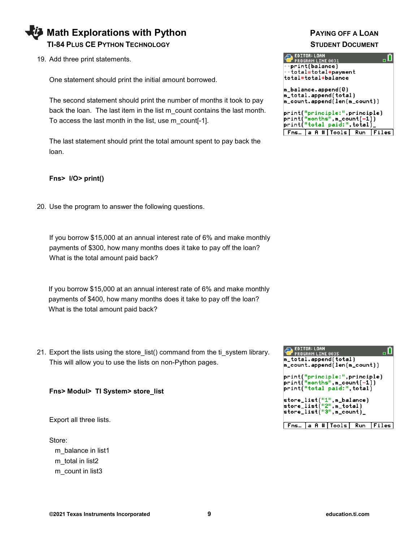## **Math Explorations with Python Communist Communist PAYING OFF A LOAN TI-84 PLUS CE PYTHON TECHNOLOGY STUDENT DOCUMENT**

19. Add three print statements.

One statement should print the initial amount borrowed.

The second statement should print the number of months it took to pay back the loan. The last item in the list m\_count contains the last month. To access the last month in the list, use m\_count[-1].

The last statement should print the total amount spent to pay back the loan.

## **Fns> I/O> print()**

20. Use the program to answer the following questions.

If you borrow \$15,000 at an annual interest rate of 6% and make monthly payments of \$300, how many months does it take to pay off the loan? What is the total amount paid back?

If you borrow \$15,000 at an annual interest rate of 6% and make monthly payments of \$400, how many months does it take to pay off the loan? What is the total amount paid back?

21. Export the lists using the store\_list() command from the ti\_system library. This will allow you to use the lists on non-Python pages.

**Fns> Modul> TI System> store\_list**

Export all three lists.

Store: m\_balance in list1 m\_total in list2 m count in list3

| <b>EDITOR: LOAN</b><br><b>T</b> PROGRAM LINE 0031 |
|---------------------------------------------------|
| $\leftrightarrow$ print(balance)                  |
| ∗∘total=total+payment<br>total=total+balance      |
|                                                   |
| m_balance.append(0)                               |
| m_total.append(total)                             |
| m_count.append(len(m_count))                      |
| print("principle:",principle)                     |
| print("months",m_count[-1])                       |
| print("total paid:",total)_                       |
| [Fns…]a A # Tools  Run [Files]                    |

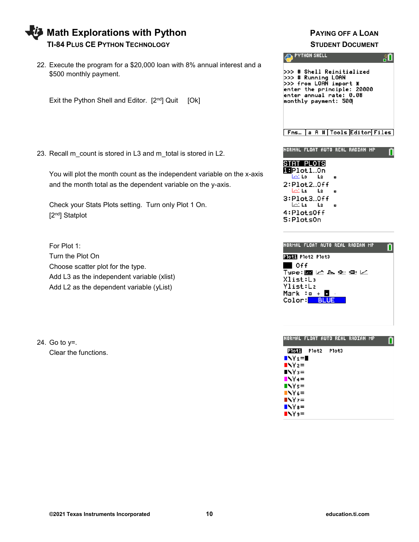| Math Explorations with Python          |
|----------------------------------------|
| <b>TI-84 PLUS CE PYTHON TECHNOLOGY</b> |

22. Execute the program for a \$20,000 loan with 8% annual interest and a \$500 monthly payment.

Exit the Python Shell and Editor.  $[2^{nd}]$  Quit  $[Ok]$ 

23. Recall m\_count is stored in L3 and m\_total is stored in L2.

You will plot the month count as the independent variable on the x-axis and the month total as the dependent variable on the y-axis.

Check your Stats Plots setting. Turn only Plot 1 On. [2<sup>nd</sup>] Statplot

For Plot 1: Turn the Plot On Choose scatter plot for the type. Add L3 as the independent variable (xlist) Add L2 as the dependent variable (yList)

24. Go to y=. Clear the functions.

## **PAYING OFF A LOAN STUDENT DOCUMENT**



| NORMAL FLOAT AUTO REAL RADIAN MP                           |  |  |
|------------------------------------------------------------|--|--|
| STAT PLOTS<br><b>ie</b> Plot1…0n<br>$\sqrt{18}$ $\sqrt{2}$ |  |  |
| 2:Plot2.0ff<br>$\sqrt{14}$ $\sqrt{2}$<br>3:Plot3Off        |  |  |
| $\sqrt{14}$ L <sub>2</sub><br>4:Plots0ff<br>5:PlotsOn      |  |  |

n

| NORMAL FLOAT AUTO REAL RADIAN MP |  |
|----------------------------------|--|
| PIOLI Plot2 Plot3                |  |
| $\blacksquare$ Off               |  |
| ⊺ype:⊠ ∠ ⊾ ≞ ⊞ ∠                 |  |
| Xlist:La                         |  |
| Ylist:L2                         |  |
| Mark :o + $\blacksquare$         |  |
| Color: BLUE                      |  |
|                                  |  |

|                | NORMAL FLOAT AUTO REAL RADIAN MP |       |  |  |
|----------------|----------------------------------|-------|--|--|
| Plot1          | Plot2                            | Plot3 |  |  |
| $\blacksquare$ |                                  |       |  |  |
| $N2 =$         |                                  |       |  |  |
| $N =$          |                                  |       |  |  |
| $N4=$          |                                  |       |  |  |
| $Ns =$         |                                  |       |  |  |
| $N6=$          |                                  |       |  |  |
| $NYz =$        |                                  |       |  |  |
| $N =$          |                                  |       |  |  |
| $N =$          |                                  |       |  |  |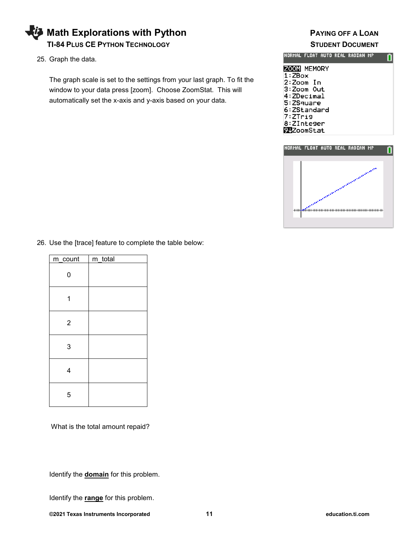

25. Graph the data.

The graph scale is set to the settings from your last graph. To fit the window to your data press [zoom]. Choose ZoomStat. This will automatically set the x-axis and y-axis based on your data.

|                                                                                                                                          |  | INORMAL FLOAT AUTO REAL RADIAN MP |  |
|------------------------------------------------------------------------------------------------------------------------------------------|--|-----------------------------------|--|
| <b>ZOOM MEMORY</b><br>1:ZBox<br>2:Zoom In<br>3:Zoom Out<br>4:ZDecimal<br>5:ZSquare<br>6:ZStandard<br>7:ZTri9<br>8:ZInteger<br>922oomStat |  |                                   |  |



26. Use the [trace] feature to complete the table below:

| m_count        | m_total |
|----------------|---------|
| 0              |         |
|                |         |
| $\overline{2}$ |         |
| 3              |         |
| 4              |         |
| 5              |         |

What is the total amount repaid?

Identify the **domain** for this problem.

Identify the **range** for this problem.

**©2021 Texas Instruments Incorporated 11 education.ti.com**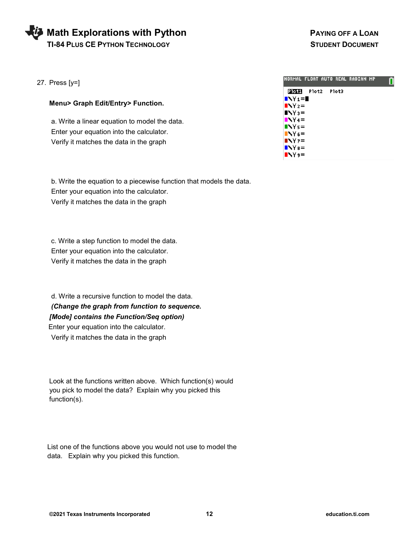# **Math Explorations with Python Account Account A** PAYING OFF A LOAN

 **TI-84 PLUS CE PYTHON TECHNOLOGY STUDENT DOCUMENT**

27. Press [y=]

|  |  | Menu> Graph Edit/Entry> Function. |  |
|--|--|-----------------------------------|--|
|--|--|-----------------------------------|--|

 a. Write a linear equation to model the data. Enter your equation into the calculator. Verify it matches the data in the graph

 b. Write the equation to a piecewise function that models the data. Enter your equation into the calculator. Verify it matches the data in the graph

 c. Write a step function to model the data. Enter your equation into the calculator. Verify it matches the data in the graph

 d. Write a recursive function to model the data. *(Change the graph from function to sequence. [Mode] contains the Function/Seq option)* Enter your equation into the calculator.

Verify it matches the data in the graph

 Look at the functions written above. Which function(s) would you pick to model the data? Explain why you picked this function(s).

 List one of the functions above you would not use to model the data. Explain why you picked this function.

|                | INORMAL FLOAT AUTO REAL RADIAN MP |       |  |  |
|----------------|-----------------------------------|-------|--|--|
| Plot1          | Plot2                             | Plot3 |  |  |
| $\blacksquare$ |                                   |       |  |  |
| $N2 =$         |                                   |       |  |  |
| $N =$          |                                   |       |  |  |
| $N4=$          |                                   |       |  |  |
| $Ns =$         |                                   |       |  |  |
| $N6=$          |                                   |       |  |  |
| N <sub>z</sub> |                                   |       |  |  |
| $N =$          |                                   |       |  |  |
| $N =$          |                                   |       |  |  |